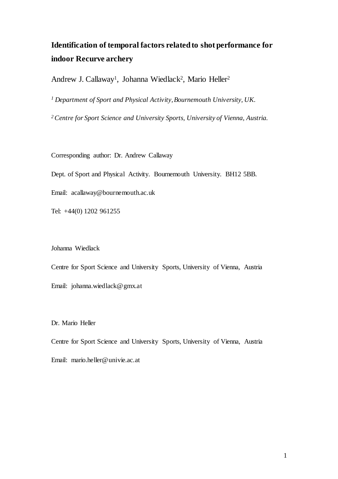# **Identification of temporal factors related to shot performance for indoor Recurve archery**

Andrew J. Callaway<sup>1</sup>, Johanna Wiedlack<sup>2</sup>, Mario Heller<sup>2</sup>

<sup>1</sup> Department of Sport and Physical Activity, Bournemouth University, UK.

*<sup>2</sup>Centre for Sport Science and University Sports, University of Vienna, Austria.* 

Corresponding author: Dr. Andrew Callaway

Dept. of Sport and Physical Activity. Bournemouth University. BH12 5BB.

Email: [acallaway@bournemouth.ac.uk](mailto:acallaway@bournemouth.ac.uk)

Tel: +44(0) 1202 961255

Johanna Wiedlack

Centre for Sport Science and University Sports, University of Vienna, Austria Email: [johanna.wiedlack@gmx.at](mailto:johanna.wiedlack@gmx.at)

Dr. Mario Heller

Centre for Sport Science and University Sports, University of Vienna, Austria Email: mario.heller@univie.ac.at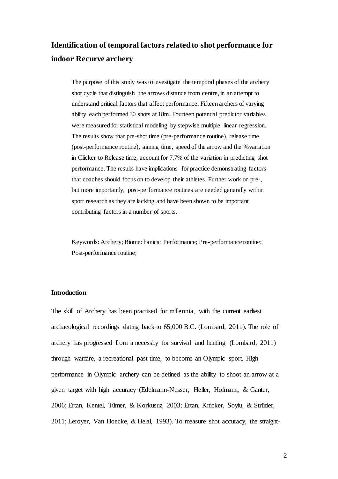# **Identification of temporal factors related to shot performance for indoor Recurve archery**

The purpose of this study was to investigate the temporal phases of the archery shot cycle that distinguish the arrows distance from centre, in an attempt to understand critical factors that affect performance. Fifteen archers of varying ability each performed 30 shots at 18m. Fourteen potential predictor variables were measured for statistical modeling by stepwise multiple linear regression. The results show that pre-shot time (pre-performance routine), release time (post-performance routine), aiming time, speed of the arrow and the %variation in Clicker to Release time, account for 7.7% of the variation in predicting shot performance. The results have implications for practice demonstrating factors that coaches should focus on to develop their athletes. Further work on pre-, but more importantly, post-performance routines are needed generally within sport research as they are lacking and have been shown to be important contributing factors in a number of sports.

Keywords: Archery; Biomechanics; Performance; Pre-performance routine; Post-performance routine;

### **Introduction**

The skill of Archery has been practised for millennia, with the current earliest archaeological recordings dating back to 65,000 B.C. (Lombard, 2011). The role of archery has progressed from a necessity for survival and hunting (Lombard, 2011) through warfare, a recreational past time, to become an Olympic sport. High performance in Olympic archery can be defined as the ability to shoot an arrow at a given target with high accuracy (Edelmann-Nusser, Heller, Hofmann, & Ganter, 2006; Ertan, Kentel, Tümer, & Korkusuz, 2003; Ertan, Knicker, Soylu, & Strüder, 2011; Leroyer, Van Hoecke, & Helal, 1993). To measure shot accuracy, the straight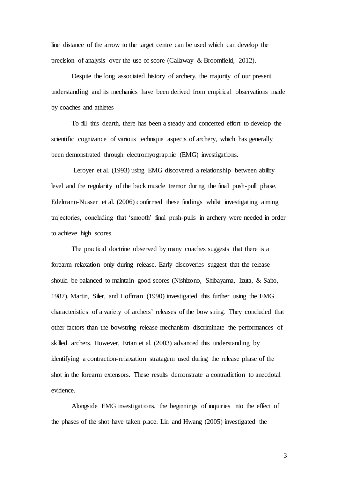line distance of the arrow to the target centre can be used which can develop the precision of analysis over the use of score (Callaway & Broomfield, 2012).

Despite the long associated history of archery, the majority of our present understanding and its mechanics have been derived from empirical observations made by coaches and athletes

To fill this dearth, there has been a steady and concerted effort to develop the scientific cognizance of various technique aspects of archery, which has generally been demonstrated through electromyographic (EMG) investigations.

Leroyer et al. (1993) using EMG discovered a relationship between ability level and the regularity of the back muscle tremor during the final push-pull phase. Edelmann-Nusser et al. (2006) confirmed these findings whilst investigating aiming trajectories, concluding that 'smooth' final push-pulls in archery were needed in order to achieve high scores.

The practical doctrine observed by many coaches suggests that there is a forearm relaxation only during release. Early discoveries suggest that the release should be balanced to maintain good scores (Nishizono, Shibayama, Izuta, & Saito, 1987). Martin, Siler, and Hoffman (1990) investigated this further using the EMG characteristics of a variety of archers' releases of the bow string. They concluded that other factors than the bowstring release mechanism discriminate the performances of skilled archers. However, Ertan et al. (2003) advanced this understanding by identifying a contraction-relaxation stratagem used during the release phase of the shot in the forearm extensors. These results demonstrate a contradiction to anecdotal evidence.

Alongside EMG investigations, the beginnings of inquiries into the effect of the phases of the shot have taken place. Lin and Hwang (2005) investigated the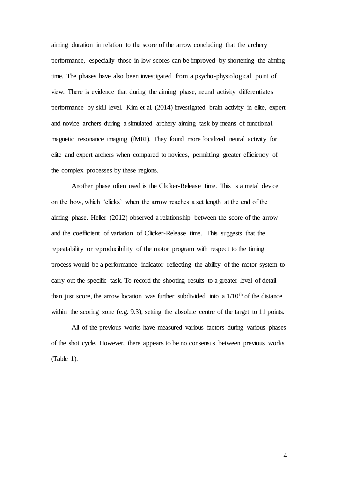aiming duration in relation to the score of the arrow concluding that the archery performance, especially those in low scores can be improved by shortening the aiming time. The phases have also been investigated from a psycho-physiological point of view. There is evidence that during the aiming phase, neural activity differentiates performance by skill level. Kim et al. (2014) investigated brain activity in elite, expert and novice archers during a simulated archery aiming task by means of functional magnetic resonance imaging (fMRI). They found more localized neural activity for elite and expert archers when compared to novices, permitting greater efficiency of the complex processes by these regions.

Another phase often used is the Clicker-Release time. This is a metal device on the bow, which 'clicks' when the arrow reaches a set length at the end of the aiming phase. Heller (2012) observed a relationship between the score of the arrow and the coefficient of variation of Clicker-Release time. This suggests that the repeatability or reproducibility of the motor program with respect to the timing process would be a performance indicator reflecting the ability of the motor system to carry out the specific task. To record the shooting results to a greater level of detail than just score, the arrow location was further subdivided into a  $1/10<sup>th</sup>$  of the distance within the scoring zone (e.g. 9.3), setting the absolute centre of the target to 11 points.

All of the previous works have measured various factors during various phases of the shot cycle. However, there appears to be no consensus between previous works (Table 1).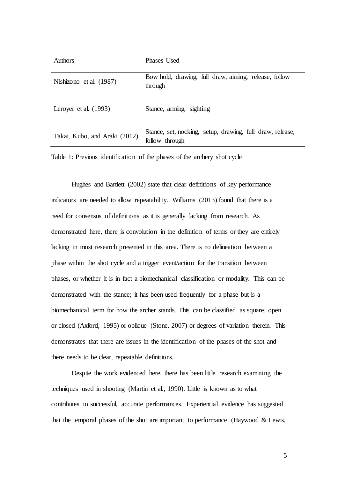| <b>Authors</b>                | Phases Used                                                                 |
|-------------------------------|-----------------------------------------------------------------------------|
| Nishizono et al. (1987)       | Bow hold, drawing, full draw, aiming, release, follow<br>through            |
| Leroyer et al. (1993)         | Stance, arming, sighting                                                    |
| Takai, Kubo, and Araki (2012) | Stance, set, nocking, setup, drawing, full draw, release,<br>follow through |

Table 1: Previous identification of the phases of the archery shot cycle

Hughes and Bartlett (2002) state that clear definitions of key performance indicators are needed to allow repeatability. Williams (2013) found that there is a need for consensus of definitions as it is generally lacking from research. As demonstrated here, there is convolution in the definition of terms or they are entirely lacking in most research presented in this area. There is no delineation between a phase within the shot cycle and a trigger event/action for the transition between phases, or whether it is in fact a biomechanical classification or modality. This can be demonstrated with the stance; it has been used frequently for a phase but is a biomechanical term for how the archer stands. This can be classified as square, open or closed (Axford, 1995) or oblique (Stone, 2007) or degrees of variation therein. This demonstrates that there are issues in the identification of the phases of the shot and there needs to be clear, repeatable definitions.

Despite the work evidenced here, there has been little research examining the techniques used in shooting (Martin et al., 1990). Little is known as to what contributes to successful, accurate performances. Experiential evidence has suggested that the temporal phases of the shot are important to performance (Haywood & Lewis,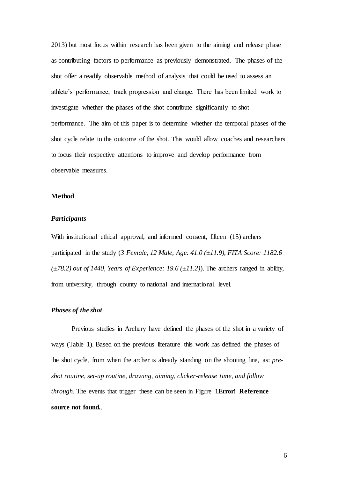2013) but most focus within research has been given to the aiming and release phase as contributing factors to performance as previously demonstrated. The phases of the shot offer a readily observable method of analysis that could be used to assess an athlete's performance, track progression and change. There has been limited work to investigate whether the phases of the shot contribute significantly to shot performance. The aim of this paper is to determine whether the temporal phases of the shot cycle relate to the outcome of the shot. This would allow coaches and researchers to focus their respective attentions to improve and develop performance from observable measures.

## **Method**

## *Participants*

With institutional ethical approval, and informed consent, fifteen (15) archers participated in the study (*3 Female, 12 Male, Age: 41.0 (±11.9), FITA Score: 1182.6*   $(\pm 78.2)$  *out of 1440, Years of Experience: 19.6*  $(\pm 11.2)$ *)*. The archers ranged in ability, from university, through county to national and international level.

## *Phases of the shot*

Previous studies in Archery have defined the phases of the shot in a variety of ways (Table 1). Based on the previous literature this work has defined the phases of the shot cycle, from when the archer is already standing on the shooting line, as: *preshot routine, set-up routine, drawing, aiming, clicker-release time, and follow through*. The events that trigger these can be seen in Figure 1**Error! Reference source not found.**.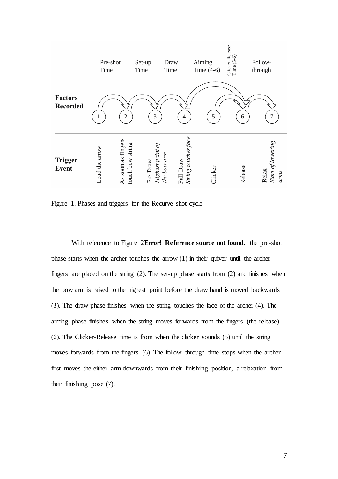

Figure 1. Phases and triggers for the Recurve shot cycle

With reference to Figure 2**Error! Reference source not found.**, the pre-shot phase starts when the archer touches the arrow (1) in their quiver until the archer fingers are placed on the string (2). The set-up phase starts from (2) and finishes when the bow arm is raised to the highest point before the draw hand is moved backwards (3). The draw phase finishes when the string touches the face of the archer (4). The aiming phase finishes when the string moves forwards from the fingers (the release) (6). The Clicker-Release time is from when the clicker sounds (5) until the string moves forwards from the fingers (6). The follow through time stops when the archer first moves the either arm downwards from their finishing position, a relaxation from their finishing pose (7).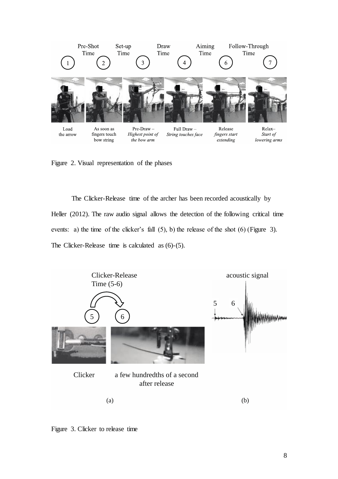

Figure 2. Visual representation of the phases

The Clicker-Release time of the archer has been recorded acoustically by Heller (2012). The raw audio signal allows the detection of the following critical time events: a) the time of the clicker's fall (5), b) the release of the shot (6) (Figure 3). The Clicker-Release time is calculated as (6)-(5).



Figure 3. Clicker to release time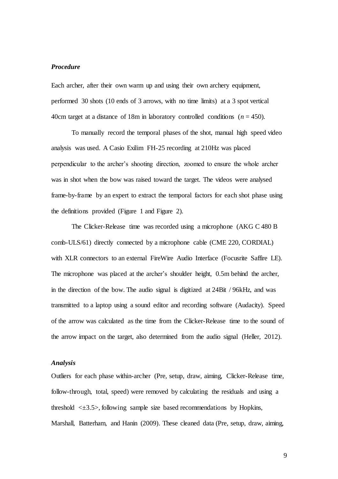# *Procedure*

Each archer, after their own warm up and using their own archery equipment, performed 30 shots (10 ends of 3 arrows, with no time limits) at a 3 spot vertical 40cm target at a distance of 18m in laboratory controlled conditions  $(n = 450)$ .

To manually record the temporal phases of the shot, manual high speed video analysis was used. A Casio Exilim FH-25 recording at 210Hz was placed perpendicular to the archer's shooting direction, zoomed to ensure the whole archer was in shot when the bow was raised toward the target. The videos were analysed frame-by-frame by an expert to extract the temporal factors for each shot phase using the definitions provided (Figure 1 and Figure 2).

The Clicker-Release time was recorded using a microphone (AKG C 480 B comb-ULS/61) directly connected by a microphone cable (CME 220, CORDIAL) with XLR connectors to an external FireWire Audio Interface (Focusrite Saffire LE). The microphone was placed at the archer's shoulder height, 0.5m behind the archer, in the direction of the bow. The audio signal is digitized at 24Bit / 96kHz, and was transmitted to a laptop using a sound editor and recording software (Audacity). Speed of the arrow was calculated as the time from the Clicker-Release time to the sound of the arrow impact on the target, also determined from the audio signal (Heller, 2012).

## *Analysis*

Outliers for each phase within-archer (Pre, setup, draw, aiming, Clicker-Release time, follow-through, total, speed) were removed by calculating the residuals and using a threshold  $\leq \pm 3.5$ , following sample size based recommendations by Hopkins, Marshall, Batterham, and Hanin (2009). These cleaned data (Pre, setup, draw, aiming,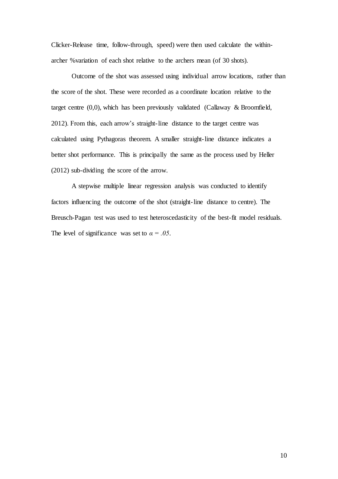Clicker-Release time, follow-through, speed) were then used calculate the withinarcher %variation of each shot relative to the archers mean (of 30 shots).

Outcome of the shot was assessed using individual arrow locations, rather than the score of the shot. These were recorded as a coordinate location relative to the target centre (0,0), which has been previously validated (Callaway & Broomfield, 2012). From this, each arrow's straight-line distance to the target centre was calculated using Pythagoras theorem. A smaller straight-line distance indicates a better shot performance. This is principally the same as the process used by Heller (2012) sub-dividing the score of the arrow.

A stepwise multiple linear regression analysis was conducted to identify factors influencing the outcome of the shot (straight-line distance to centre). The Breusch-Pagan test was used to test heteroscedasticity of the best-fit model residuals. The level of significance was set to  $\alpha = .05$ .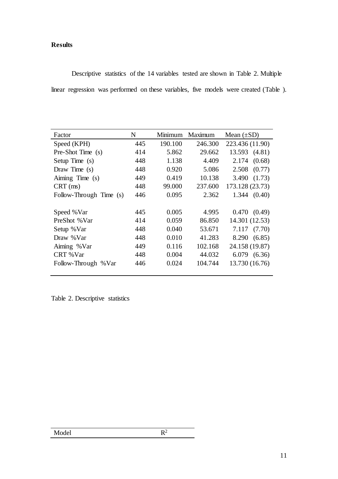# **Results**

Descriptive statistics of the 14 variables tested are shown in Table 2. Multiple linear regression was performed on these variables, five models were created (Table ).

| Factor                  | N   | Minimum | Maximum | Mean $(\pm SD)$  |  |
|-------------------------|-----|---------|---------|------------------|--|
| Speed (KPH)             | 445 | 190.100 | 246.300 | 223.436 (11.90)  |  |
| Pre-Shot Time (s)       | 414 | 5.862   | 29.662  | 13.593 (4.81)    |  |
| Setup Time $(s)$        | 448 | 1.138   | 4.409   | (0.68)<br>2.174  |  |
| Draw Time $(s)$         | 448 | 0.920   | 5.086   | $2.508$ $(0.77)$ |  |
| Aiming Time (s)         | 449 | 0.419   | 10.138  | 3.490 (1.73)     |  |
| $CRT$ (ms)              | 448 | 99.000  | 237.600 | 173.128 (23.73)  |  |
| Follow-Through Time (s) | 446 | 0.095   | 2.362   | 1.344(0.40)      |  |
|                         |     |         |         |                  |  |
| Speed %Var              | 445 | 0.005   | 4.995   | 0.470(0.49)      |  |
| PreShot %Var            | 414 | 0.059   | 86.850  | 14.301 (12.53)   |  |
| Setup % Var             | 448 | 0.040   | 53.671  | 7.117(7.70)      |  |
| Draw %Var               | 448 | 0.010   | 41.283  | 8.290 (6.85)     |  |
| Aiming %Var             | 449 | 0.116   | 102.168 | 24.158 (19.87)   |  |
| CRT %Var                | 448 | 0.004   | 44.032  | 6.079(6.36)      |  |
| Follow-Through % Var    | 446 | 0.024   | 104.744 | 13.730 (16.76)   |  |
|                         |     |         |         |                  |  |

Table 2. Descriptive statistics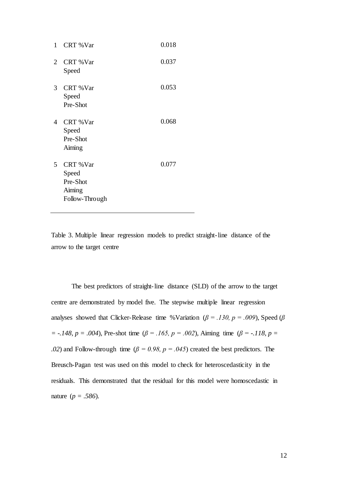| 1 | CRT %Var                                                  | 0.018 |
|---|-----------------------------------------------------------|-------|
| 2 | CRT %Var<br>Speed                                         | 0.037 |
| 3 | CRT %Var<br>Speed<br>Pre-Shot                             | 0.053 |
| 4 | CRT %Var<br>Speed<br>Pre-Shot<br>Aiming                   | 0.068 |
| 5 | CRT %Var<br>Speed<br>Pre-Shot<br>Aiming<br>Follow-Through | 0.077 |

Table 3. Multiple linear regression models to predict straight-line distance of the arrow to the target centre

The best predictors of straight-line distance (SLD) of the arrow to the target centre are demonstrated by model five. The stepwise multiple linear regression analyses showed that Clicker-Release time %Variation (*β = .130, p = .009*), Speed (*β = -.148, p = .004*), Pre-shot time (*β = .165, p = .002*), Aiming time (*β = -.118, p = .02*) and Follow-through time ( $\beta = 0.98$ ,  $p = 0.045$ ) created the best predictors. The Breusch-Pagan test was used on this model to check for heteroscedasticity in the residuals. This demonstrated that the residual for this model were homoscedastic in nature (*p = .586*).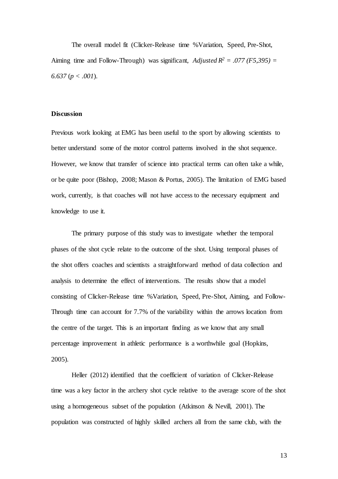The overall model fit (Clicker-Release time %Variation, Speed, Pre-Shot, Aiming time and Follow-Through) was significant, *Adjusted R<sup>2</sup>* = .077 (F5,395) = *6.637* (*p < .001*).

#### **Discussion**

Previous work looking at EMG has been useful to the sport by allowing scientists to better understand some of the motor control patterns involved in the shot sequence. However, we know that transfer of science into practical terms can often take a while, or be quite poor (Bishop, 2008; Mason & Portus, 2005). The limitation of EMG based work, currently, is that coaches will not have access to the necessary equipment and knowledge to use it.

The primary purpose of this study was to investigate whether the temporal phases of the shot cycle relate to the outcome of the shot. Using temporal phases of the shot offers coaches and scientists a straightforward method of data collection and analysis to determine the effect of interventions. The results show that a model consisting of Clicker-Release time %Variation, Speed, Pre-Shot, Aiming, and Follow-Through time can account for 7.7% of the variability within the arrows location from the centre of the target. This is an important finding as we know that any small percentage improvement in athletic performance is a worthwhile goal (Hopkins, 2005).

Heller (2012) identified that the coefficient of variation of Clicker-Release time was a key factor in the archery shot cycle relative to the average score of the shot using a homogeneous subset of the population (Atkinson & Nevill, 2001). The population was constructed of highly skilled archers all from the same club, with the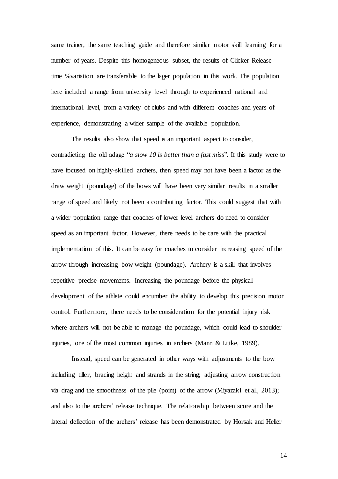same trainer, the same teaching guide and therefore similar motor skill learning for a number of years. Despite this homogeneous subset, the results of Clicker-Release time %variation are transferable to the lager population in this work. The population here included a range from university level through to experienced national and international level, from a variety of clubs and with different coaches and years of experience, demonstrating a wider sample of the available population.

The results also show that speed is an important aspect to consider, contradicting the old adage "*a slow 10 is better than a fast miss*". If this study were to have focused on highly-skilled archers, then speed may not have been a factor as the draw weight (poundage) of the bows will have been very similar results in a smaller range of speed and likely not been a contributing factor. This could suggest that with a wider population range that coaches of lower level archers do need to consider speed as an important factor. However, there needs to be care with the practical implementation of this. It can be easy for coaches to consider increasing speed of the arrow through increasing bow weight (poundage). Archery is a skill that involves repetitive precise movements. Increasing the poundage before the physical development of the athlete could encumber the ability to develop this precision motor control. Furthermore, there needs to be consideration for the potential injury risk where archers will not be able to manage the poundage, which could lead to shoulder injuries, one of the most common injuries in archers (Mann & Littke, 1989).

Instead, speed can be generated in other ways with adjustments to the bow including tiller, bracing height and strands in the string; adjusting arrow construction via drag and the smoothness of the pile (point) of the arrow (Miyazaki et al., 2013); and also to the archers' release technique. The relationship between score and the lateral deflection of the archers' release has been demonstrated by Horsak and Heller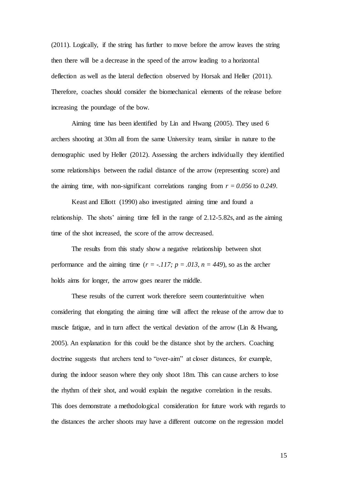(2011). Logically, if the string has further to move before the arrow leaves the string then there will be a decrease in the speed of the arrow leading to a horizontal deflection as well as the lateral deflection observed by Horsak and Heller (2011). Therefore, coaches should consider the biomechanical elements of the release before increasing the poundage of the bow.

Aiming time has been identified by Lin and Hwang (2005). They used 6 archers shooting at 30m all from the same University team, similar in nature to the demographic used by Heller (2012). Assessing the archers individually they identified some relationships between the radial distance of the arrow (representing score) and the aiming time, with non-significant correlations ranging from  $r = 0.056$  to 0.249.

Keast and Elliott (1990) also investigated aiming time and found a relationship. The shots' aiming time fell in the range of 2.12-5.82s, and as the aiming time of the shot increased, the score of the arrow decreased.

The results from this study show a negative relationship between shot performance and the aiming time  $(r = -117; p = .013, n = 449)$ , so as the archer holds aims for longer, the arrow goes nearer the middle.

These results of the current work therefore seem counterintuitive when considering that elongating the aiming time will affect the release of the arrow due to muscle fatigue, and in turn affect the vertical deviation of the arrow (Lin & Hwang, 2005). An explanation for this could be the distance shot by the archers. Coaching doctrine suggests that archers tend to "over-aim" at closer distances, for example, during the indoor season where they only shoot 18m. This can cause archers to lose the rhythm of their shot, and would explain the negative correlation in the results. This does demonstrate a methodological consideration for future work with regards to the distances the archer shoots may have a different outcome on the regression model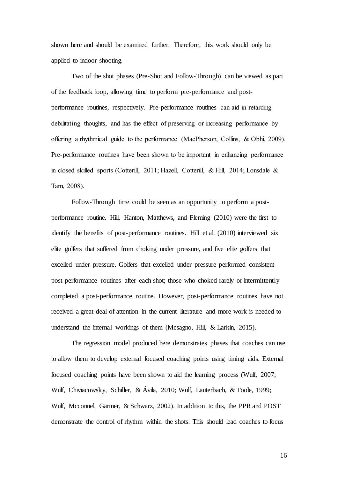shown here and should be examined further. Therefore, this work should only be applied to indoor shooting.

Two of the shot phases (Pre-Shot and Follow-Through) can be viewed as part of the feedback loop, allowing time to perform pre-performance and postperformance routines, respectively. Pre-performance routines can aid in retarding debilitating thoughts, and has the effect of preserving or increasing performance by offering a rhythmical guide to the performance (MacPherson, Collins, & Obhi, 2009). Pre-performance routines have been shown to be important in enhancing performance in closed skilled sports (Cotterill, 2011; Hazell, Cotterill, & Hill, 2014; Lonsdale & Tam, 2008).

Follow-Through time could be seen as an opportunity to perform a postperformance routine. Hill, Hanton, Matthews, and Fleming (2010) were the first to identify the benefits of post-performance routines. Hill et al. (2010) interviewed six elite golfers that suffered from choking under pressure, and five elite golfers that excelled under pressure. Golfers that excelled under pressure performed consistent post-performance routines after each shot; those who choked rarely or intermittently completed a post-performance routine. However, post-performance routines have not received a great deal of attention in the current literature and more work is needed to understand the internal workings of them (Mesagno, Hill, & Larkin, 2015).

The regression model produced here demonstrates phases that coaches can use to allow them to develop external focused coaching points using timing aids. External focused coaching points have been shown to aid the learning process (Wulf, 2007; Wulf, Chiviacowsky, Schiller, & Ávila, 2010; Wulf, Lauterbach, & Toole, 1999; Wulf, Mcconnel, Gärtner, & Schwarz, 2002). In addition to this, the PPR and POST demonstrate the control of rhythm within the shots. This should lead coaches to focus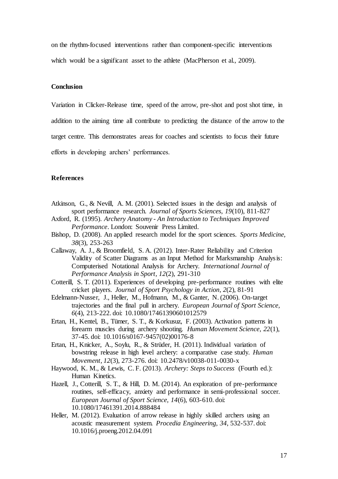on the rhythm-focused interventions rather than component-specific interventions which would be a significant asset to the athlete (MacPherson et al., 2009).

## **Conclusion**

Variation in Clicker-Release time, speed of the arrow, pre-shot and post shot time, in

addition to the aiming time all contribute to predicting the distance of the arrow to the

target centre. This demonstrates areas for coaches and scientists to focus their future

efforts in developing archers' performances.

## **References**

- Atkinson, G., & Nevill, A. M. (2001). Selected issues in the design and analysis of sport performance research. *Journal of Sports Sciences, 19*(10), 811-827
- Axford, R. (1995). *Archery Anatomy - An Introduction to Techniques Improved Performance*. London: Souvenir Press Limited.
- Bishop, D. (2008). An applied research model for the sport sciences. *Sports Medicine, 38*(3), 253-263
- Callaway, A. J., & Broomfield, S. A. (2012). Inter-Rater Reliability and Criterion Validity of Scatter Diagrams as an Input Method for Marksmanship Analysis: Computerised Notational Analysis for Archery. *International Journal of Performance Analysis in Sport, 12*(2), 291-310
- Cotterill, S. T. (2011). Experiences of developing pre-performance routines with elite cricket players. *Journal of Sport Psychology in Action, 2*(2), 81-91
- Edelmann-Nusser, J., Heller, M., Hofmann, M., & Ganter, N. (2006). On-target trajectories and the final pull in archery. *European Journal of Sport Science, 6*(4), 213-222. doi: 10.1080/17461390601012579
- Ertan, H., Kentel, B., Tümer, S. T., & Korkusuz, F. (2003). Activation patterns in forearm muscles during archery shooting. *Human Movement Science, 22*(1), 37-45. doi: 10.1016/s0167-9457(02)00176-8
- Ertan, H., Knicker, A., Soylu, R., & Strüder, H. (2011). Individual variation of bowstring release in high level archery: a comparative case study. *Human Movement, 12*(3), 273-276. doi: 10.2478/v10038-011-0030-x
- Haywood, K. M., & Lewis, C. F. (2013). *Archery: Steps to Success* (Fourth ed.): Human Kinetics.
- Hazell, J., Cotterill, S. T., & Hill, D. M. (2014). An exploration of pre-performance routines, self-efficacy, anxiety and performance in semi-professional soccer. *European Journal of Sport Science, 14*(6), 603-610. doi: 10.1080/17461391.2014.888484
- Heller, M. (2012). Evaluation of arrow release in highly skilled archers using an acoustic measurement system. *Procedia Engineering, 34*, 532-537. doi: 10.1016/j.proeng.2012.04.091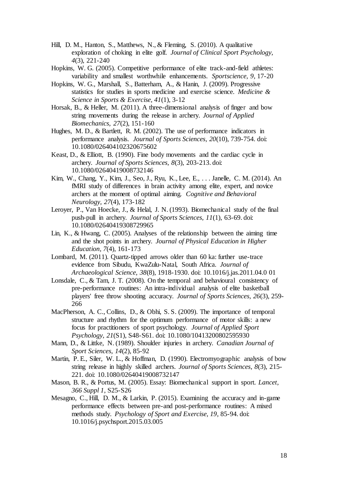- Hill, D. M., Hanton, S., Matthews, N., & Fleming, S. (2010). A qualitative exploration of choking in elite golf. *Journal of Clinical Sport Psychology, 4*(3), 221-240
- Hopkins, W. G. (2005). Competitive performance of elite track-and-field athletes: variability and smallest worthwhile enhancements. *Sportscience, 9*, 17-20
- Hopkins, W. G., Marshall, S., Batterham, A., & Hanin, J. (2009). Progressive statistics for studies in sports medicine and exercise science. *Medicine & Science in Sports & Exercise, 41*(1), 3-12
- Horsak, B., & Heller, M. (2011). A three-dimensional analysis of finger and bow string movements during the release in archery. *Journal of Applied Biomechanics, 27*(2), 151-160
- Hughes, M. D., & Bartlett, R. M. (2002). The use of performance indicators in performance analysis. *Journal of Sports Sciences, 20*(10), 739-754. doi: 10.1080/026404102320675602
- Keast, D., & Elliott, B. (1990). Fine body movements and the cardiac cycle in archery. *Journal of Sports Sciences, 8*(3), 203-213. doi: 10.1080/02640419008732146
- Kim, W., Chang, Y., Kim, J., Seo, J., Ryu, K., Lee, E., . . . Janelle, C. M. (2014). An fMRI study of differences in brain activity among elite, expert, and novice archers at the moment of optimal aiming. *Cognitive and Behavioral Neurology, 27*(4), 173-182
- Leroyer, P., Van Hoecke, J., & Helal, J. N. (1993). Biomechanical study of the final push-pull in archery. *Journal of Sports Sciences, 11*(1), 63-69. doi: 10.1080/02640419308729965
- Lin, K., & Hwang, C. (2005). Analyses of the relationship between the aiming time and the shot points in archery. *Journal of Physical Education in Higher Education, 7*(4), 161-173
- Lombard, M. (2011). Quartz-tipped arrows older than 60 ka: further use-trace evidence from Sibudu, KwaZulu-Natal, South Africa. *Journal of Archaeological Science, 38*(8), 1918-1930. doi: 10.1016/j.jas.2011.04.0 01
- Lonsdale, C., & Tam, J. T. (2008). On the temporal and behavioural consistency of pre-performance routines: An intra-individual analysis of elite basketball players' free throw shooting accuracy. *Journal of Sports Sciences, 26*(3), 259- 266
- MacPherson, A. C., Collins, D., & Obhi, S. S. (2009). The importance of temporal structure and rhythm for the optimum performance of motor skills: a new focus for practitioners of sport psychology. *Journal of Applied Sport Psychology, 21*(S1), S48-S61. doi: 10.1080/10413200802595930
- Mann, D., & Littke, N. (1989). Shoulder injuries in archery. *Canadian Journal of Sport Sciences, 14*(2), 85-92
- Martin, P. E., Siler, W. L., & Hoffman, D. (1990). Electromyographic analysis of bow string release in highly skilled archers. *Journal of Sports Sciences, 8*(3), 215- 221. doi: 10.1080/02640419008732147
- Mason, B. R., & Portus, M. (2005). Essay: Biomechanical support in sport. *Lancet, 366 Suppl 1*, S25-S26
- Mesagno, C., Hill, D. M., & Larkin, P. (2015). Examining the accuracy and in-game performance effects between pre-and post-performance routines: A mixed methods study. *Psychology of Sport and Exercise, 19*, 85-94. doi: 10.1016/j.psychsport.2015.03.005